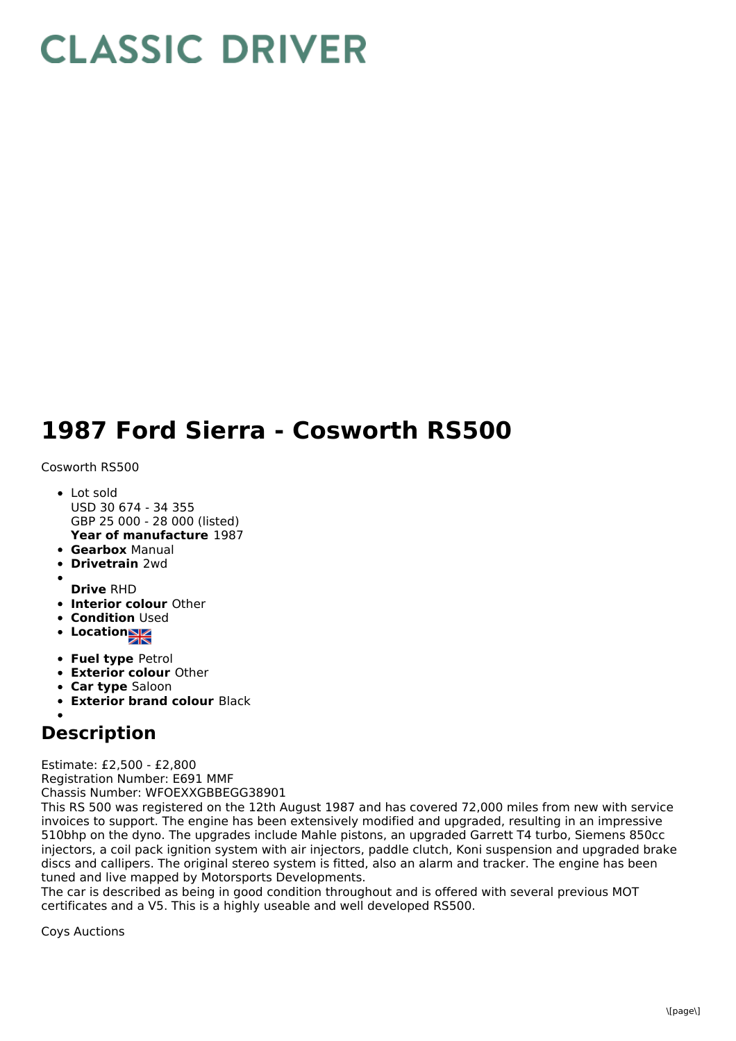## **CLASSIC DRIVER**

## **1987 Ford Sierra - Cosworth RS500**

Cosworth RS500

- **Year of manufacture** 1987 • Lot sold USD 30 674 - 34 355 GBP 25 000 - 28 000 (listed)
- **Gearbox** Manual
- **Drivetrain** 2wd
- **Drive** RHD
- **Interior colour** Other
- **Condition** Used
- Location<sub>al</sub>
- **Fuel type** Petrol
- **Exterior colour** Other
- **Car type** Saloon
- **Exterior brand colour** Black

## **Description**

Estimate: £2,500 - £2,800 Registration Number: E691 MMF Chassis Number: WFOEXXGBBEGG38901

This RS 500 was registered on the 12th August 1987 and has covered 72,000 miles from new with service invoices to support. The engine has been extensively modified and upgraded, resulting in an impressive 510bhp on the dyno. The upgrades include Mahle pistons, an upgraded Garrett T4 turbo, Siemens 850cc injectors, a coil pack ignition system with air injectors, paddle clutch, Koni suspension and upgraded brake discs and callipers. The original stereo system is fitted, also an alarm and tracker. The engine has been tuned and live mapped by Motorsports Developments.

The car is described as being in good condition throughout and is offered with several previous MOT certificates and a V5. This is a highly useable and well developed RS500.

Coys Auctions